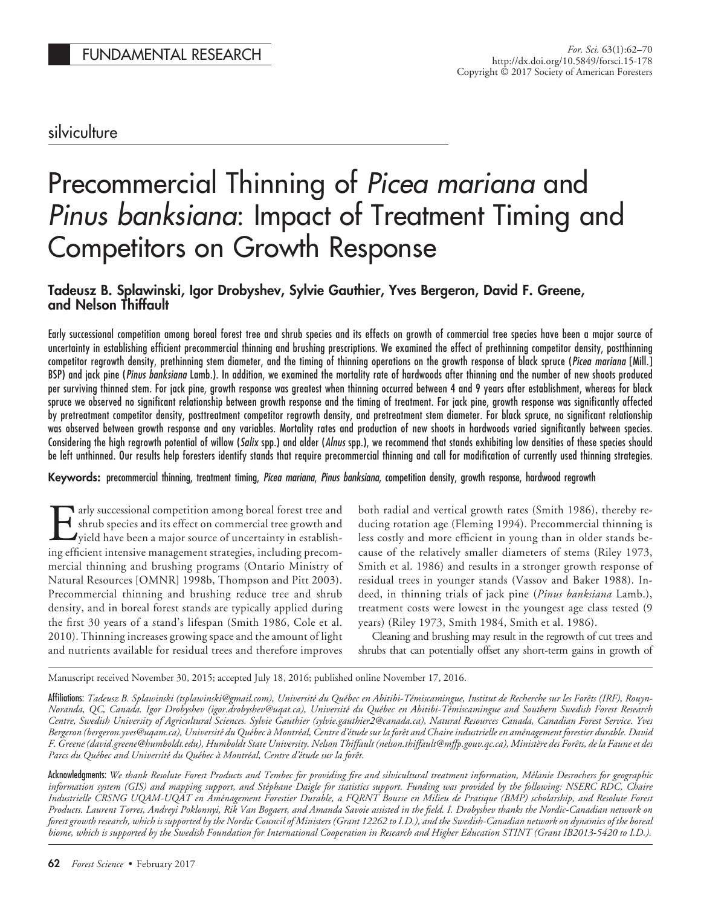# silviculture

# Precommercial Thinning of *Picea mariana* and *Pinus banksiana*: Impact of Treatment Timing and Competitors on Growth Response

# **Tadeusz B. Splawinski, Igor Drobyshev, Sylvie Gauthier, Yves Bergeron, David F. Greene, and Nelson Thiffault**

Early successional competition among boreal forest tree and shrub species and its effects on growth of commercial tree species have been a major source of uncertainty in establishing efficient precommercial thinning and brushing prescriptions. We examined the effect of prethinning competitor density, postthinning competitor regrowth density, prethinning stem diameter, and the timing of thinning operations on the growth response of black spruce (*Picea mariana* [Mill.] BSP) and jack pine (*Pinus banksiana* Lamb.). In addition, we examined the mortality rate of hardwoods after thinning and the number of new shoots produced per surviving thinned stem. For jack pine, growth response was greatest when thinning occurred between 4 and 9 years after establishment, whereas for black spruce we observed no significant relationship between growth response and the timing of treatment. For jack pine, growth response was significantly affected by pretreatment competitor density, posttreatment competitor regrowth density, and pretreatment stem diameter. For black spruce, no significant relationship was observed between growth response and any variables. Mortality rates and production of new shoots in hardwoods varied significantly between species. Considering the high regrowth potential of willow (*Salix* spp.) and alder (*Alnus* spp.), we recommend that stands exhibiting low densities of these species should be left unthinned. Our results help foresters identify stands that require precommercial thinning and call for modification of currently used thinning strategies.

**Keywords:** precommercial thinning, treatment timing, *Picea mariana*, *Pinus banksiana*, competition density, growth response, hardwood regrowth

Early successional competition among boreal forest tree and<br>shrub species and its effect on commercial tree growth and<br>yield have been a major source of uncertainty in establish-<br>ing efficient intensive management strategi shrub species and its effect on commercial tree growth and yield have been a major source of uncertainty in establishing efficient intensive management strategies, including precommercial thinning and brushing programs (Ontario Ministry of Natural Resources [OMNR] 1998b, Thompson and Pitt 2003). Precommercial thinning and brushing reduce tree and shrub density, and in boreal forest stands are typically applied during the first 30 years of a stand's lifespan (Smith 1986, Cole et al. 2010). Thinning increases growing space and the amount of light and nutrients available for residual trees and therefore improves

both radial and vertical growth rates (Smith 1986), thereby reducing rotation age (Fleming 1994). Precommercial thinning is less costly and more efficient in young than in older stands because of the relatively smaller diameters of stems (Riley 1973, Smith et al. 1986) and results in a stronger growth response of residual trees in younger stands (Vassov and Baker 1988). Indeed, in thinning trials of jack pine (*Pinus banksiana* Lamb.), treatment costs were lowest in the youngest age class tested (9 years) (Riley 1973, Smith 1984, Smith et al. 1986).

Cleaning and brushing may result in the regrowth of cut trees and shrubs that can potentially offset any short-term gains in growth of

Manuscript received November 30, 2015; accepted July 18, 2016; published online November 17, 2016.

Affiliations: Tadeusz B. Splawinski (tsplawinski@gmail.com), Université du Québec en Abitibi-Témiscamingue, Institut de Recherche sur les Forêts (IRF), Rouyn-*Noranda, QC, Canada. Igor Drobyshev (igor.drobyshev@uqat.ca), Universite´ du Que´bec en Abitibi-Te´miscamingue and Southern Swedish Forest Research Centre, Swedish University of Agricultural Sciences. Sylvie Gauthier (sylvie.gauthier2@canada.ca), Natural Resources Canada, Canadian Forest Service. Yves* Bergeron (bergeron.yves@uqam.ca), Université du Québec à Montréal, Centre d'étude sur la forêt and Chaire industrielle en aménagement forestier durable. David *F. Greene (david.greene@humboldt.edu), Humboldt State University. Nelson Thiffault (nelson.thiffault@mffp.gouv.qc.ca), Ministère des Forêts, de la Faune et des* Parcs du Québec and Université du Québec à Montréal, Centre d'étude sur la forêt.

Acknowledgments: *We thank Resolute Forest Products and Tembec for providing fire and silvicultural treatment information, Me´lanie Desrochers for geographic* information system (GIS) and mapping support, and Stéphane Daigle for statistics support. Funding was provided by the following: NSERC RDC, Chaire Industrielle CRSNG UQAM-UQAT en Aménagement Forestier Durable, a FQRNT Bourse en Milieu de Pratique (BMP) scholarship, and Resolute Forest *Products. Laurent Torres, Andreyi Poklonnyi, Rik Van Bogaert, and Amanda Savoie assisted in the field. I. Drobyshev thanks the Nordic-Canadian network on forest growth research, which is supported by the Nordic Council of Ministers (Grant 12262 to I.D.), and the Swedish-Canadian network on dynamics of the boreal biome, which is supported by the Swedish Foundation for International Cooperation in Research and Higher Education STINT (Grant IB2013-5420 to I.D.).*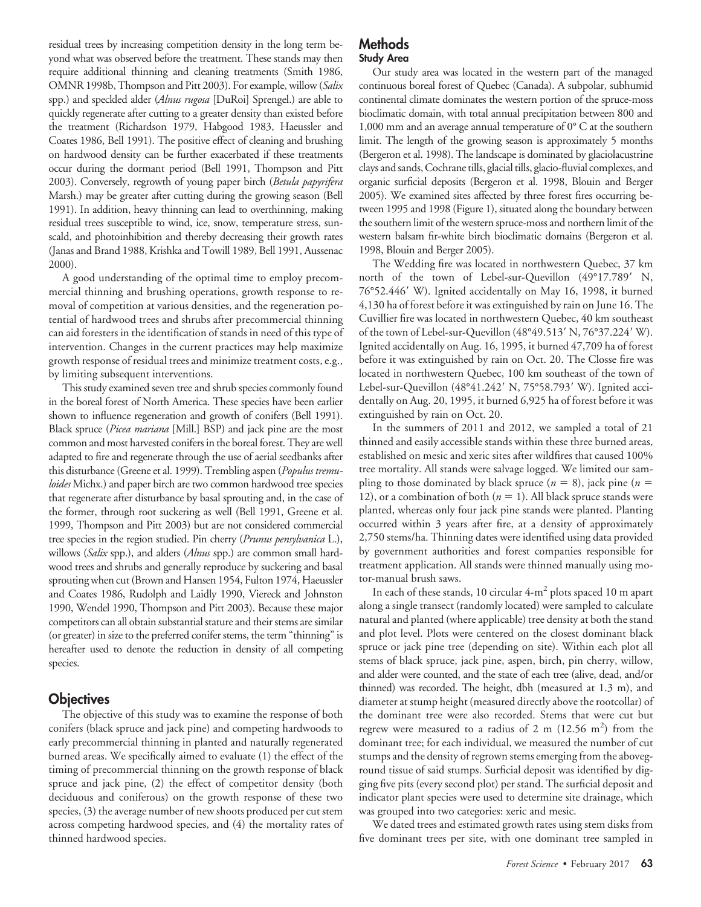residual trees by increasing competition density in the long term beyond what was observed before the treatment. These stands may then require additional thinning and cleaning treatments (Smith 1986, OMNR 1998b, Thompson and Pitt 2003). For example, willow (*Salix* spp.) and speckled alder (*Alnus rugosa* [DuRoi] Sprengel.) are able to quickly regenerate after cutting to a greater density than existed before the treatment (Richardson 1979, Habgood 1983, Haeussler and Coates 1986, Bell 1991). The positive effect of cleaning and brushing on hardwood density can be further exacerbated if these treatments occur during the dormant period (Bell 1991, Thompson and Pitt 2003). Conversely, regrowth of young paper birch (*Betula papyrifera* Marsh.) may be greater after cutting during the growing season (Bell 1991). In addition, heavy thinning can lead to overthinning, making residual trees susceptible to wind, ice, snow, temperature stress, sunscald, and photoinhibition and thereby decreasing their growth rates (Janas and Brand 1988, Krishka and Towill 1989, Bell 1991, Aussenac 2000).

A good understanding of the optimal time to employ precommercial thinning and brushing operations, growth response to removal of competition at various densities, and the regeneration potential of hardwood trees and shrubs after precommercial thinning can aid foresters in the identification of stands in need of this type of intervention. Changes in the current practices may help maximize growth response of residual trees and minimize treatment costs, e.g., by limiting subsequent interventions.

This study examined seven tree and shrub species commonly found in the boreal forest of North America. These species have been earlier shown to influence regeneration and growth of conifers (Bell 1991). Black spruce (*Picea mariana* [Mill.] BSP) and jack pine are the most common and most harvested conifers in the boreal forest. They are well adapted to fire and regenerate through the use of aerial seedbanks after this disturbance (Greene et al. 1999). Trembling aspen (*Populus tremuloides* Michx.) and paper birch are two common hardwood tree species that regenerate after disturbance by basal sprouting and, in the case of the former, through root suckering as well (Bell 1991, Greene et al. 1999, Thompson and Pitt 2003) but are not considered commercial tree species in the region studied. Pin cherry (*Prunus pensylvanica* L.), willows (*Salix* spp.), and alders (*Alnus* spp.) are common small hardwood trees and shrubs and generally reproduce by suckering and basal sprouting when cut (Brown and Hansen 1954, Fulton 1974, Haeussler and Coates 1986, Rudolph and Laidly 1990, Viereck and Johnston 1990, Wendel 1990, Thompson and Pitt 2003). Because these major competitors can all obtain substantial stature and their stems are similar (or greater) in size to the preferred conifer stems, the term "thinning" is hereafter used to denote the reduction in density of all competing species.

# **Objectives**

The objective of this study was to examine the response of both conifers (black spruce and jack pine) and competing hardwoods to early precommercial thinning in planted and naturally regenerated burned areas. We specifically aimed to evaluate (1) the effect of the timing of precommercial thinning on the growth response of black spruce and jack pine, (2) the effect of competitor density (both deciduous and coniferous) on the growth response of these two species, (3) the average number of new shoots produced per cut stem across competing hardwood species, and (4) the mortality rates of thinned hardwood species.

## **Methods Study Area**

Our study area was located in the western part of the managed continuous boreal forest of Quebec (Canada). A subpolar, subhumid continental climate dominates the western portion of the spruce-moss bioclimatic domain, with total annual precipitation between 800 and 1,000 mm and an average annual temperature of 0° C at the southern limit. The length of the growing season is approximately 5 months (Bergeron et al. 1998). The landscape is dominated by glaciolacustrine clays and sands,Cochrane tills, glacial tills, glacio-fluvial complexes, and organic surficial deposits (Bergeron et al. 1998, Blouin and Berger 2005). We examined sites affected by three forest fires occurring between 1995 and 1998 (Figure 1), situated along the boundary between the southern limit of the western spruce-moss and northern limit of the western balsam fir-white birch bioclimatic domains (Bergeron et al. 1998, Blouin and Berger 2005).

The Wedding fire was located in northwestern Quebec, 37 km north of the town of Lebel-sur-Quevillon (49°17.789' N, 76°52.446' W). Ignited accidentally on May 16, 1998, it burned 4,130 ha of forest before it was extinguished by rain on June 16. The Cuvillier fire was located in northwestern Quebec, 40 km southeast of the town of Lebel-sur-Quevillon (48°49.513' N, 76°37.224' W). Ignited accidentally on Aug. 16, 1995, it burned 47,709 ha of forest before it was extinguished by rain on Oct. 20. The Closse fire was located in northwestern Quebec, 100 km southeast of the town of Lebel-sur-Quevillon (48°41.242′ N, 75°58.793′ W). Ignited accidentally on Aug. 20, 1995, it burned 6,925 ha of forest before it was extinguished by rain on Oct. 20.

In the summers of 2011 and 2012, we sampled a total of 21 thinned and easily accessible stands within these three burned areas, established on mesic and xeric sites after wildfires that caused 100% tree mortality. All stands were salvage logged. We limited our sampling to those dominated by black spruce  $(n = 8)$ , jack pine  $(n = 8)$ 12), or a combination of both  $(n = 1)$ . All black spruce stands were planted, whereas only four jack pine stands were planted. Planting occurred within 3 years after fire, at a density of approximately 2,750 stems/ha. Thinning dates were identified using data provided by government authorities and forest companies responsible for treatment application. All stands were thinned manually using motor-manual brush saws.

In each of these stands, 10 circular  $4-m^2$  plots spaced 10 m apart along a single transect (randomly located) were sampled to calculate natural and planted (where applicable) tree density at both the stand and plot level. Plots were centered on the closest dominant black spruce or jack pine tree (depending on site). Within each plot all stems of black spruce, jack pine, aspen, birch, pin cherry, willow, and alder were counted, and the state of each tree (alive, dead, and/or thinned) was recorded. The height, dbh (measured at 1.3 m), and diameter at stump height (measured directly above the rootcollar) of the dominant tree were also recorded. Stems that were cut but regrew were measured to a radius of 2 m  $(12.56 \text{ m}^2)$  from the dominant tree; for each individual, we measured the number of cut stumps and the density of regrown stems emerging from the aboveground tissue of said stumps. Surficial deposit was identified by digging five pits (every second plot) per stand. The surficial deposit and indicator plant species were used to determine site drainage, which was grouped into two categories: xeric and mesic.

We dated trees and estimated growth rates using stem disks from five dominant trees per site, with one dominant tree sampled in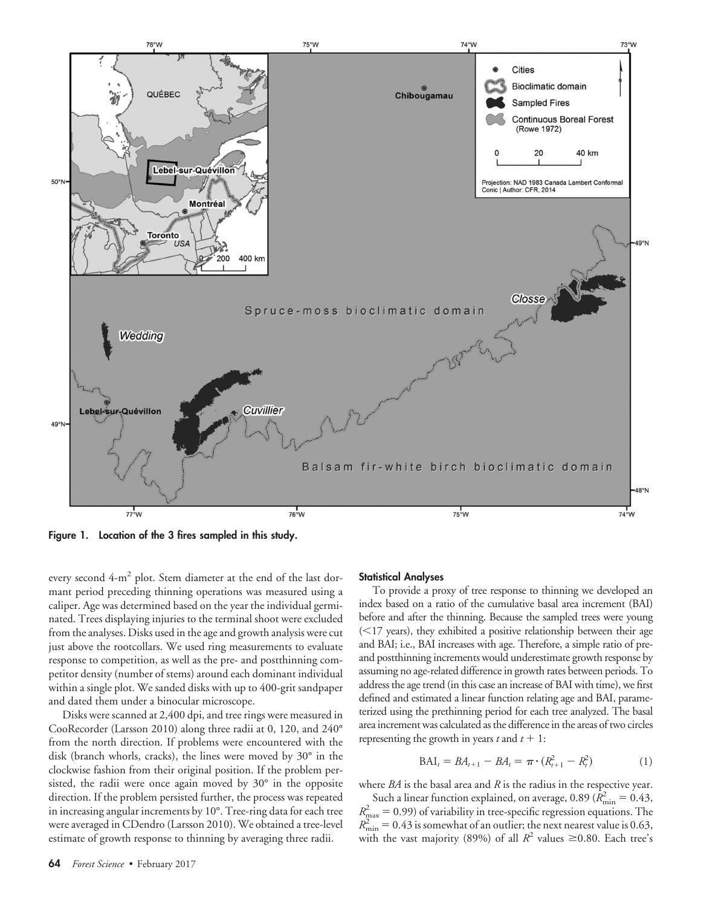

**Figure 1. Location of the 3 fires sampled in this study.**

every second 4-m<sup>2</sup> plot. Stem diameter at the end of the last dormant period preceding thinning operations was measured using a caliper. Age was determined based on the year the individual germinated. Trees displaying injuries to the terminal shoot were excluded from the analyses. Disks used in the age and growth analysis were cut just above the rootcollars. We used ring measurements to evaluate response to competition, as well as the pre- and postthinning competitor density (number of stems) around each dominant individual within a single plot. We sanded disks with up to 400-grit sandpaper and dated them under a binocular microscope.

Disks were scanned at 2,400 dpi, and tree rings were measured in CooRecorder (Larsson 2010) along three radii at 0, 120, and 240° from the north direction. If problems were encountered with the disk (branch whorls, cracks), the lines were moved by 30° in the clockwise fashion from their original position. If the problem persisted, the radii were once again moved by 30° in the opposite direction. If the problem persisted further, the process was repeated in increasing angular increments by 10°. Tree-ring data for each tree were averaged in CDendro (Larsson 2010). We obtained a tree-level estimate of growth response to thinning by averaging three radii.

#### **Statistical Analyses**

To provide a proxy of tree response to thinning we developed an index based on a ratio of the cumulative basal area increment (BAI) before and after the thinning. Because the sampled trees were young  $(<$ 17 years), they exhibited a positive relationship between their age and BAI; i.e., BAI increases with age. Therefore, a simple ratio of preand postthinning increments would underestimate growth response by assuming no age-related difference in growth rates between periods. To address the age trend (in this case an increase of BAI with time), we first defined and estimated a linear function relating age and BAI, parameterized using the prethinning period for each tree analyzed. The basal area increment was calculated as the difference in the areas of two circles representing the growth in years  $t$  and  $t + 1$ :

$$
BAI_t = BA_{t+1} - BA_t = \pi \cdot (R_{t+1}^2 - R_t^2)
$$
 (1)

where *BA* is the basal area and *R* is the radius in the respective year. Such a linear function explained, on average, 0.89 ( $\hat{R}_{\text{min}}^2 = 0.43$ ,  $R_{\text{max}}^2 = 0.99$ ) of variability in tree-specific regression equations. The  $R_{\min}^2 = 0.43$  is somewhat of an outlier; the next nearest value is 0.63, with the vast majority (89%) of all  $R^2$  values  $\geq 0.80$ . Each tree's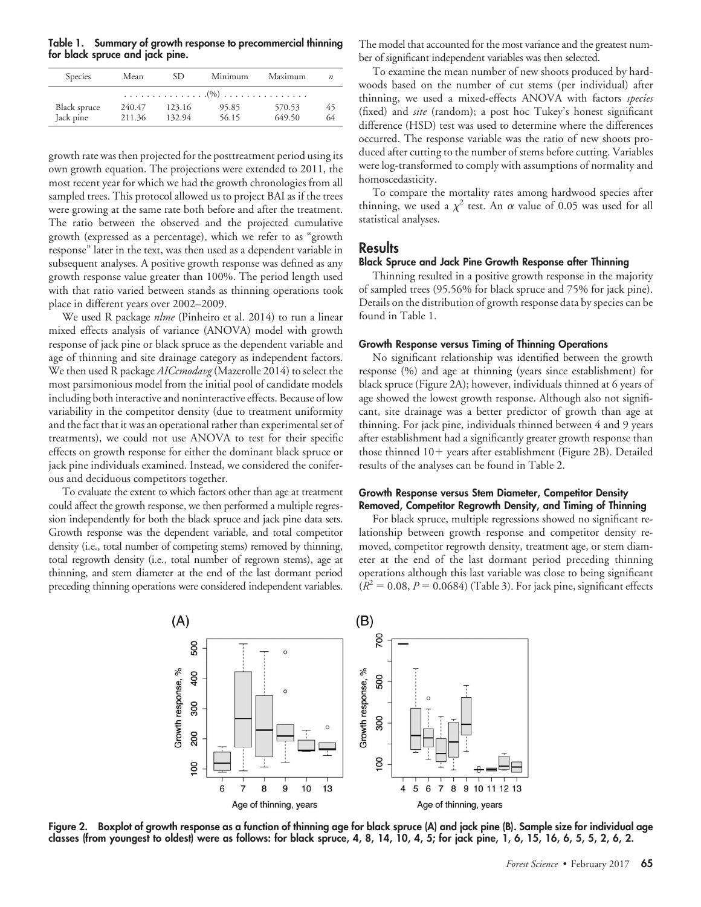**Table 1. Summary of growth response to precommercial thinning for black spruce and jack pine.**

| Species                   | SD.<br>Mean      |                  | Minimum        | Maximum          | $\boldsymbol{n}$ |  |  |  |  |
|---------------------------|------------------|------------------|----------------|------------------|------------------|--|--|--|--|
|                           |                  |                  |                |                  |                  |  |  |  |  |
| Black spruce<br>Jack pine | 240.47<br>211.36 | 123.16<br>132.94 | 95.85<br>56.15 | 570.53<br>649.50 | 45<br>64         |  |  |  |  |

growth rate was then projected for the posttreatment period using its own growth equation. The projections were extended to 2011, the most recent year for which we had the growth chronologies from all sampled trees. This protocol allowed us to project BAI as if the trees were growing at the same rate both before and after the treatment. The ratio between the observed and the projected cumulative growth (expressed as a percentage), which we refer to as "growth response" later in the text, was then used as a dependent variable in subsequent analyses. A positive growth response was defined as any growth response value greater than 100%. The period length used with that ratio varied between stands as thinning operations took place in different years over 2002–2009.

We used R package *nlme* (Pinheiro et al. 2014) to run a linear mixed effects analysis of variance (ANOVA) model with growth response of jack pine or black spruce as the dependent variable and age of thinning and site drainage category as independent factors. We then used R package *AICcmodavg*(Mazerolle 2014) to select the most parsimonious model from the initial pool of candidate models including both interactive and noninteractive effects. Because of low variability in the competitor density (due to treatment uniformity and the fact that it was an operational rather than experimental set of treatments), we could not use ANOVA to test for their specific effects on growth response for either the dominant black spruce or jack pine individuals examined. Instead, we considered the coniferous and deciduous competitors together.

To evaluate the extent to which factors other than age at treatment could affect the growth response, we then performed a multiple regression independently for both the black spruce and jack pine data sets. Growth response was the dependent variable, and total competitor density (i.e., total number of competing stems) removed by thinning, total regrowth density (i.e., total number of regrown stems), age at thinning, and stem diameter at the end of the last dormant period preceding thinning operations were considered independent variables.

The model that accounted for the most variance and the greatest number of significant independent variables was then selected.

To examine the mean number of new shoots produced by hardwoods based on the number of cut stems (per individual) after thinning, we used a mixed-effects ANOVA with factors *species* (fixed) and *site* (random); a post hoc Tukey's honest significant difference (HSD) test was used to determine where the differences occurred. The response variable was the ratio of new shoots produced after cutting to the number of stems before cutting. Variables were log-transformed to comply with assumptions of normality and homoscedasticity.

To compare the mortality rates among hardwood species after thinning, we used a  $\chi^2$  test. An  $\alpha$  value of 0.05 was used for all statistical analyses.

## **Results**

#### **Black Spruce and Jack Pine Growth Response after Thinning**

Thinning resulted in a positive growth response in the majority of sampled trees (95.56% for black spruce and 75% for jack pine). Details on the distribution of growth response data by species can be found in Table 1.

#### **Growth Response versus Timing of Thinning Operations**

No significant relationship was identified between the growth response (%) and age at thinning (years since establishment) for black spruce (Figure 2A); however, individuals thinned at 6 years of age showed the lowest growth response. Although also not significant, site drainage was a better predictor of growth than age at thinning. For jack pine, individuals thinned between 4 and 9 years after establishment had a significantly greater growth response than those thinned 10+ years after establishment (Figure 2B). Detailed results of the analyses can be found in Table 2.

#### **Growth Response versus Stem Diameter, Competitor Density Removed, Competitor Regrowth Density, and Timing of Thinning**

For black spruce, multiple regressions showed no significant relationship between growth response and competitor density removed, competitor regrowth density, treatment age, or stem diameter at the end of the last dormant period preceding thinning operations although this last variable was close to being significant  $(R^2 = 0.08, P = 0.0684)$  (Table 3). For jack pine, significant effects



**Figure 2. Boxplot of growth response as a function of thinning age for black spruce (A) and jack pine (B). Sample size for individual age classes (from youngest to oldest) were as follows: for black spruce, 4, 8, 14, 10, 4, 5; for jack pine, 1, 6, 15, 16, 6, 5, 5, 2, 6, 2.**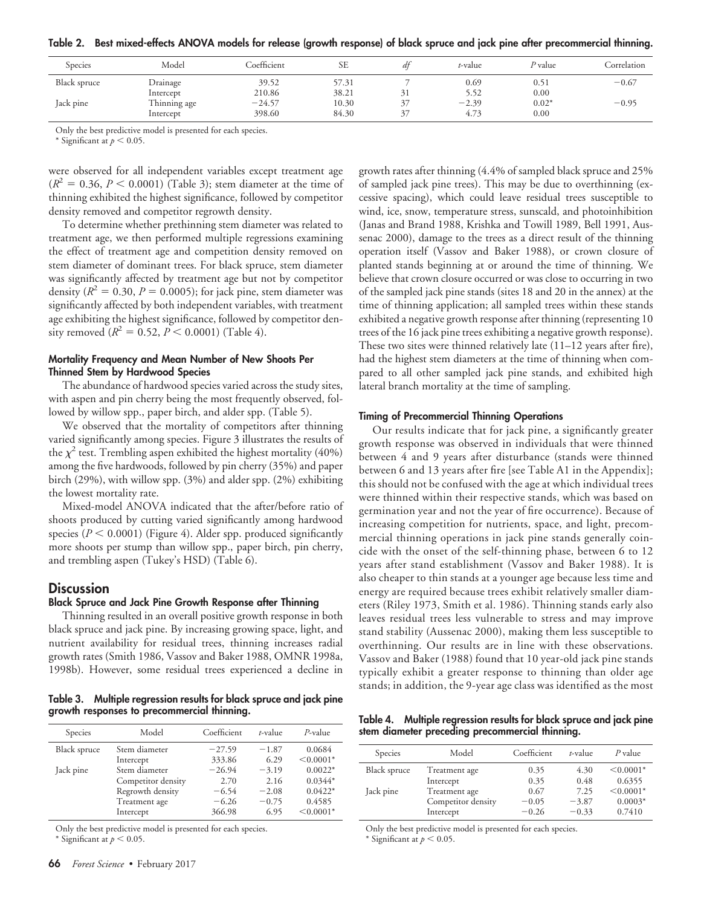|  | Table 2. Best mixed-effects ANOVA models for release (growth response) of black spruce and jack pine after precommercial thinning. |  |  |  |  |  |  |  |  |
|--|------------------------------------------------------------------------------------------------------------------------------------|--|--|--|--|--|--|--|--|
|--|------------------------------------------------------------------------------------------------------------------------------------|--|--|--|--|--|--|--|--|

| Species      | Model        | Coefficient | SЕ    | dt | t-value | <i>P</i> value | Correlation |
|--------------|--------------|-------------|-------|----|---------|----------------|-------------|
| Black spruce | Drainage     | 39.52       | 57.31 |    | 0.69    | 0.51           | $-0.67$     |
|              | Intercept    | 210.86      | 38.21 |    | 5.52    | 0.00           |             |
| Jack pine    | Thinning age | $-24.57$    | 10.30 | 37 | $-2.39$ | $0.02*$        | $-0.95$     |
|              | Intercept    | 398.60      | 84.30 | 27 | 4.73    | 0.00           |             |

Only the best predictive model is presented for each species.

\* Significant at  $p < 0.05$ .

were observed for all independent variables except treatment age  $(R^2 = 0.36, P \le 0.0001)$  (Table 3); stem diameter at the time of thinning exhibited the highest significance, followed by competitor density removed and competitor regrowth density.

To determine whether prethinning stem diameter was related to treatment age, we then performed multiple regressions examining the effect of treatment age and competition density removed on stem diameter of dominant trees. For black spruce, stem diameter was significantly affected by treatment age but not by competitor density  $(R^2 = 0.30, P = 0.0005)$ ; for jack pine, stem diameter was significantly affected by both independent variables, with treatment age exhibiting the highest significance, followed by competitor density removed  $(R^2 = 0.52, P < 0.0001)$  (Table 4).

## **Mortality Frequency and Mean Number of New Shoots Per Thinned Stem by Hardwood Species**

The abundance of hardwood species varied across the study sites, with aspen and pin cherry being the most frequently observed, followed by willow spp., paper birch, and alder spp. (Table 5).

We observed that the mortality of competitors after thinning varied significantly among species. Figure 3 illustrates the results of the  $\chi^2$  test. Trembling aspen exhibited the highest mortality (40%) among the five hardwoods, followed by pin cherry (35%) and paper birch (29%), with willow spp. (3%) and alder spp. (2%) exhibiting the lowest mortality rate.

Mixed-model ANOVA indicated that the after/before ratio of shoots produced by cutting varied significantly among hardwood species  $(P < 0.0001)$  (Figure 4). Alder spp. produced significantly more shoots per stump than willow spp., paper birch, pin cherry, and trembling aspen (Tukey's HSD) (Table 6).

## **Discussion**

#### **Black Spruce and Jack Pine Growth Response after Thinning**

Thinning resulted in an overall positive growth response in both black spruce and jack pine. By increasing growing space, light, and nutrient availability for residual trees, thinning increases radial growth rates (Smith 1986, Vassov and Baker 1988, OMNR 1998a, 1998b). However, some residual trees experienced a decline in

**Table 3. Multiple regression results for black spruce and jack pine growth responses to precommercial thinning.**

| Species      | Model              | Coefficient | t-value | $P$ -value  |
|--------------|--------------------|-------------|---------|-------------|
| Black spruce | Stem diameter      | $-27.59$    | $-1.87$ | 0.0684      |
|              | Intercept          | 333.86      | 6.29    | $< 0.0001*$ |
| Jack pine    | Stem diameter      | $-26.94$    | $-3.19$ | $0.0022*$   |
|              | Competitor density | 2.70        | 2.16    | $0.0344*$   |
|              | Regrowth density   | $-6.54$     | $-2.08$ | $0.0422*$   |
|              | Treatment age      | $-6.26$     | $-0.75$ | 0.4585      |
|              | Intercept          | 366.98      | 6.95    | $< 0.0001*$ |

Only the best predictive model is presented for each species.

\* Significant at  $p < 0.05$ .

growth rates after thinning (4.4% of sampled black spruce and 25% of sampled jack pine trees). This may be due to overthinning (excessive spacing), which could leave residual trees susceptible to wind, ice, snow, temperature stress, sunscald, and photoinhibition (Janas and Brand 1988, Krishka and Towill 1989, Bell 1991, Aussenac 2000), damage to the trees as a direct result of the thinning operation itself (Vassov and Baker 1988), or crown closure of planted stands beginning at or around the time of thinning. We believe that crown closure occurred or was close to occurring in two of the sampled jack pine stands (sites 18 and 20 in the annex) at the time of thinning application; all sampled trees within these stands exhibited a negative growth response after thinning (representing 10 trees of the 16 jack pine trees exhibiting a negative growth response). These two sites were thinned relatively late (11–12 years after fire), had the highest stem diameters at the time of thinning when compared to all other sampled jack pine stands, and exhibited high lateral branch mortality at the time of sampling.

## **Timing of Precommercial Thinning Operations**

Our results indicate that for jack pine, a significantly greater growth response was observed in individuals that were thinned between 4 and 9 years after disturbance (stands were thinned between 6 and 13 years after fire [see Table A1 in the Appendix]; this should not be confused with the age at which individual trees were thinned within their respective stands, which was based on germination year and not the year of fire occurrence). Because of increasing competition for nutrients, space, and light, precommercial thinning operations in jack pine stands generally coincide with the onset of the self-thinning phase, between 6 to 12 years after stand establishment (Vassov and Baker 1988). It is also cheaper to thin stands at a younger age because less time and energy are required because trees exhibit relatively smaller diameters (Riley 1973, Smith et al. 1986). Thinning stands early also leaves residual trees less vulnerable to stress and may improve stand stability (Aussenac 2000), making them less susceptible to overthinning. Our results are in line with these observations. Vassov and Baker (1988) found that 10 year-old jack pine stands typically exhibit a greater response to thinning than older age stands; in addition, the 9-year age class was identified as the most

**Table 4. Multiple regression results for black spruce and jack pine stem diameter preceding precommercial thinning.**

| Species      | Model              | Coefficient | t-value | $P$ value   |
|--------------|--------------------|-------------|---------|-------------|
| Black spruce | Treatment age      | 0.35        | 4.30    | $< 0.0001*$ |
|              | Intercept          | 0.35        | 0.48    | 0.6355      |
| Jack pine    | Treatment age      | 0.67        | 7.25    | $< 0.0001*$ |
|              | Competitor density | $-0.05$     | $-3.87$ | $0.0003*$   |
|              | Intercept          | $-0.26$     | $-0.33$ | 0.7410      |

Only the best predictive model is presented for each species.

\* Significant at  $p < 0.05$ .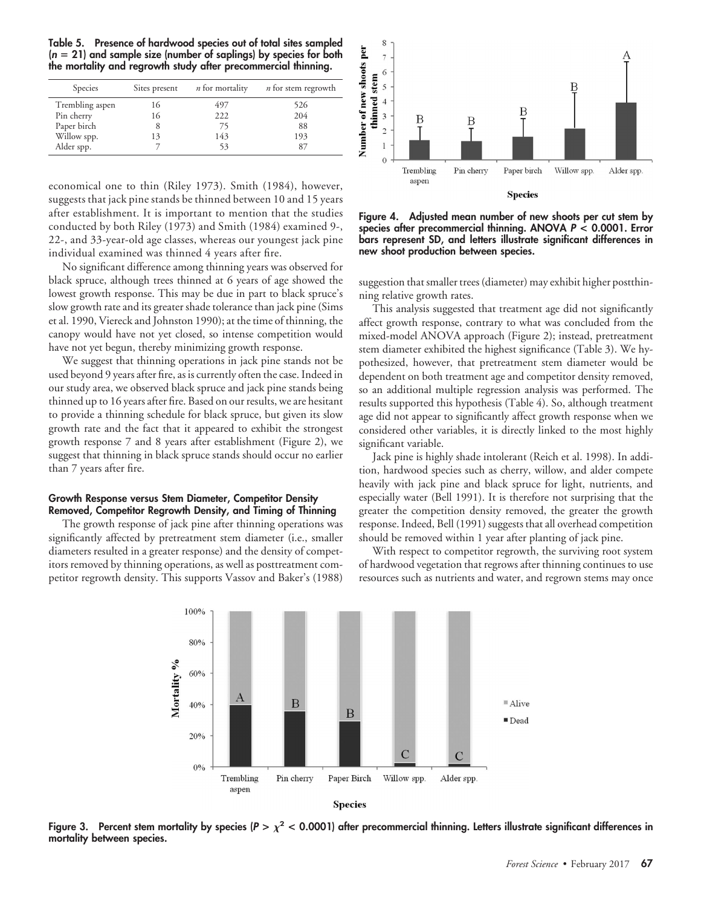**Table 5. Presence of hardwood species out of total sites sampled (***n* **21) and sample size (number of saplings) by species for both the mortality and regrowth study after precommercial thinning.**

| Species         | Sites present | <i>n</i> for mortality | <i>n</i> for stem regrowth |
|-----------------|---------------|------------------------|----------------------------|
| Trembling aspen | 16            | 497                    | 526                        |
| Pin cherry      | 16            | 222                    | 204                        |
| Paper birch     |               | 75                     | 88                         |
| Willow spp.     | 13            | 143                    | 193                        |
| Alder spp.      |               | 53                     | 87                         |

economical one to thin (Riley 1973). Smith (1984), however, suggests that jack pine stands be thinned between 10 and 15 years after establishment. It is important to mention that the studies conducted by both Riley (1973) and Smith (1984) examined 9-, 22-, and 33-year-old age classes, whereas our youngest jack pine individual examined was thinned 4 years after fire.

No significant difference among thinning years was observed for black spruce, although trees thinned at 6 years of age showed the lowest growth response. This may be due in part to black spruce's slow growth rate and its greater shade tolerance than jack pine (Sims et al. 1990, Viereck and Johnston 1990); at the time of thinning, the canopy would have not yet closed, so intense competition would have not yet begun, thereby minimizing growth response.

We suggest that thinning operations in jack pine stands not be used beyond 9 years after fire, as is currently often the case. Indeed in our study area, we observed black spruce and jack pine stands being thinned up to 16 years after fire. Based on our results, we are hesitant to provide a thinning schedule for black spruce, but given its slow growth rate and the fact that it appeared to exhibit the strongest growth response 7 and 8 years after establishment (Figure 2), we suggest that thinning in black spruce stands should occur no earlier than 7 years after fire.

#### **Growth Response versus Stem Diameter, Competitor Density Removed, Competitor Regrowth Density, and Timing of Thinning**

The growth response of jack pine after thinning operations was significantly affected by pretreatment stem diameter (i.e., smaller diameters resulted in a greater response) and the density of competitors removed by thinning operations, as well as posttreatment competitor regrowth density. This supports Vassov and Baker's (1988)



**Figure 4. Adjusted mean number of new shoots per cut stem by species after precommercial thinning. ANOVA** *P* **< 0.0001. Error bars represent SD, and letters illustrate significant differences in new shoot production between species.**

suggestion that smaller trees (diameter) may exhibit higher postthinning relative growth rates.

This analysis suggested that treatment age did not significantly affect growth response, contrary to what was concluded from the mixed-model ANOVA approach (Figure 2); instead, pretreatment stem diameter exhibited the highest significance (Table 3). We hypothesized, however, that pretreatment stem diameter would be dependent on both treatment age and competitor density removed, so an additional multiple regression analysis was performed. The results supported this hypothesis (Table 4). So, although treatment age did not appear to significantly affect growth response when we considered other variables, it is directly linked to the most highly significant variable.

Jack pine is highly shade intolerant (Reich et al. 1998). In addition, hardwood species such as cherry, willow, and alder compete heavily with jack pine and black spruce for light, nutrients, and especially water (Bell 1991). It is therefore not surprising that the greater the competition density removed, the greater the growth response. Indeed, Bell (1991) suggests that all overhead competition should be removed within 1 year after planting of jack pine.

With respect to competitor regrowth, the surviving root system of hardwood vegetation that regrows after thinning continues to use resources such as nutrients and water, and regrown stems may once





Figure 3. Percent stem mortality by species ( $P > \chi^2 < 0.0001$ ) after precommercial thinning. Letters illustrate significant differences in **mortality between species.**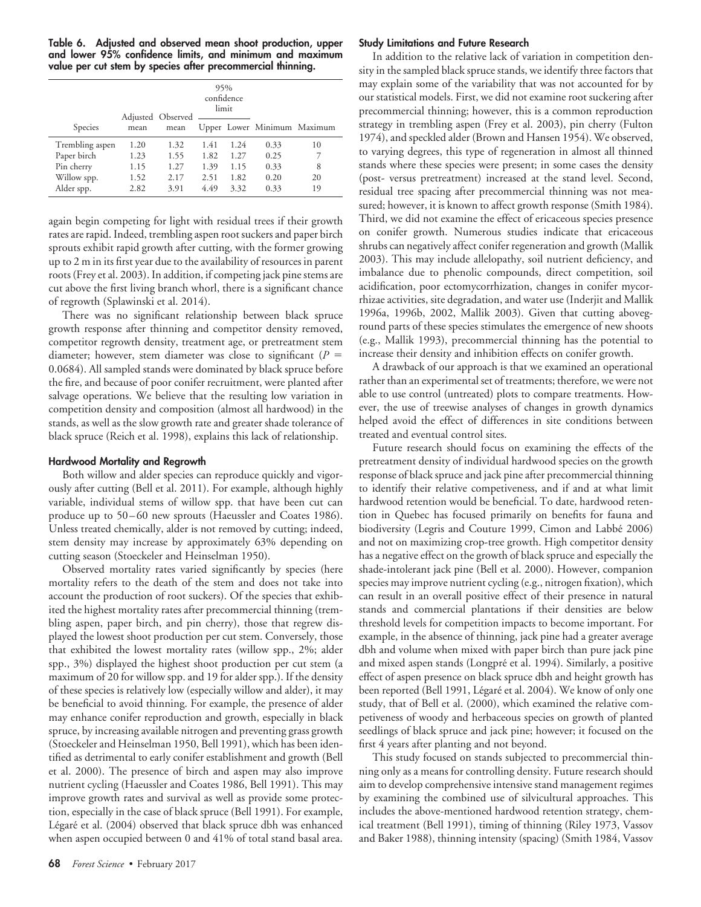**Table 6. Adjusted and observed mean shoot production, upper and lower 95% confidence limits, and minimum and maximum value per cut stem by species after precommercial thinning.**

|                 |      | Adjusted Observed | 95%  | confidence<br>limit |                             |    |
|-----------------|------|-------------------|------|---------------------|-----------------------------|----|
| Species         | mean | mean              |      |                     | Upper Lower Minimum Maximum |    |
| Trembling aspen | 1.20 | 1.32              | 1.41 | 1.24                | 0.33                        | 10 |
| Paper birch     | 1.23 | 1.55              | 1.82 | 1.27                | 0.25                        |    |
| Pin cherry      | 1.15 | 1.27              | 1.39 | 1.15                | 0.33                        | 8  |
| Willow spp.     | 1.52 | 2.17              | 2.51 | 1.82                | 0.20                        | 20 |
| Alder spp.      | 2.82 | 3.91              | 4.49 | 3.32                | 0.33                        | 19 |

again begin competing for light with residual trees if their growth rates are rapid. Indeed, trembling aspen root suckers and paper birch sprouts exhibit rapid growth after cutting, with the former growing up to 2 m in its first year due to the availability of resources in parent roots (Frey et al. 2003). In addition, if competing jack pine stems are cut above the first living branch whorl, there is a significant chance of regrowth (Splawinski et al. 2014).

There was no significant relationship between black spruce growth response after thinning and competitor density removed, competitor regrowth density, treatment age, or pretreatment stem diameter; however, stem diameter was close to significant (*P* 0.0684). All sampled stands were dominated by black spruce before the fire, and because of poor conifer recruitment, were planted after salvage operations. We believe that the resulting low variation in competition density and composition (almost all hardwood) in the stands, as well as the slow growth rate and greater shade tolerance of black spruce (Reich et al. 1998), explains this lack of relationship.

## **Hardwood Mortality and Regrowth**

Both willow and alder species can reproduce quickly and vigorously after cutting (Bell et al. 2011). For example, although highly variable, individual stems of willow spp. that have been cut can produce up to 50-60 new sprouts (Haeussler and Coates 1986). Unless treated chemically, alder is not removed by cutting; indeed, stem density may increase by approximately 63% depending on cutting season (Stoeckeler and Heinselman 1950).

Observed mortality rates varied significantly by species (here mortality refers to the death of the stem and does not take into account the production of root suckers). Of the species that exhibited the highest mortality rates after precommercial thinning (trembling aspen, paper birch, and pin cherry), those that regrew displayed the lowest shoot production per cut stem. Conversely, those that exhibited the lowest mortality rates (willow spp., 2%; alder spp., 3%) displayed the highest shoot production per cut stem (a maximum of 20 for willow spp. and 19 for alder spp.). If the density of these species is relatively low (especially willow and alder), it may be beneficial to avoid thinning. For example, the presence of alder may enhance conifer reproduction and growth, especially in black spruce, by increasing available nitrogen and preventing grass growth (Stoeckeler and Heinselman 1950, Bell 1991), which has been identified as detrimental to early conifer establishment and growth (Bell et al. 2000). The presence of birch and aspen may also improve nutrient cycling (Haeussler and Coates 1986, Bell 1991). This may improve growth rates and survival as well as provide some protection, especially in the case of black spruce (Bell 1991). For example, Légaré et al. (2004) observed that black spruce dbh was enhanced when aspen occupied between 0 and 41% of total stand basal area.

## **Study Limitations and Future Research**

In addition to the relative lack of variation in competition density in the sampled black spruce stands, we identify three factors that may explain some of the variability that was not accounted for by our statistical models. First, we did not examine root suckering after precommercial thinning; however, this is a common reproduction strategy in trembling aspen (Frey et al. 2003), pin cherry (Fulton 1974), and speckled alder (Brown and Hansen 1954). We observed, to varying degrees, this type of regeneration in almost all thinned stands where these species were present; in some cases the density (post- versus pretreatment) increased at the stand level. Second, residual tree spacing after precommercial thinning was not measured; however, it is known to affect growth response (Smith 1984). Third, we did not examine the effect of ericaceous species presence on conifer growth. Numerous studies indicate that ericaceous shrubs can negatively affect conifer regeneration and growth (Mallik 2003). This may include allelopathy, soil nutrient deficiency, and imbalance due to phenolic compounds, direct competition, soil acidification, poor ectomycorrhization, changes in conifer mycorrhizae activities, site degradation, and water use (Inderjit and Mallik 1996a, 1996b, 2002, Mallik 2003). Given that cutting aboveground parts of these species stimulates the emergence of new shoots (e.g., Mallik 1993), precommercial thinning has the potential to increase their density and inhibition effects on conifer growth.

A drawback of our approach is that we examined an operational rather than an experimental set of treatments; therefore, we were not able to use control (untreated) plots to compare treatments. However, the use of treewise analyses of changes in growth dynamics helped avoid the effect of differences in site conditions between treated and eventual control sites.

Future research should focus on examining the effects of the pretreatment density of individual hardwood species on the growth response of black spruce and jack pine after precommercial thinning to identify their relative competiveness, and if and at what limit hardwood retention would be beneficial. To date, hardwood retention in Quebec has focused primarily on benefits for fauna and biodiversity (Legris and Couture 1999, Cimon and Labbé 2006) and not on maximizing crop-tree growth. High competitor density has a negative effect on the growth of black spruce and especially the shade-intolerant jack pine (Bell et al. 2000). However, companion species may improve nutrient cycling (e.g., nitrogen fixation), which can result in an overall positive effect of their presence in natural stands and commercial plantations if their densities are below threshold levels for competition impacts to become important. For example, in the absence of thinning, jack pine had a greater average dbh and volume when mixed with paper birch than pure jack pine and mixed aspen stands (Longpré et al. 1994). Similarly, a positive effect of aspen presence on black spruce dbh and height growth has been reported (Bell 1991, Légaré et al. 2004). We know of only one study, that of Bell et al. (2000), which examined the relative competiveness of woody and herbaceous species on growth of planted seedlings of black spruce and jack pine; however; it focused on the first 4 years after planting and not beyond.

This study focused on stands subjected to precommercial thinning only as a means for controlling density. Future research should aim to develop comprehensive intensive stand management regimes by examining the combined use of silvicultural approaches. This includes the above-mentioned hardwood retention strategy, chemical treatment (Bell 1991), timing of thinning (Riley 1973, Vassov and Baker 1988), thinning intensity (spacing) (Smith 1984, Vassov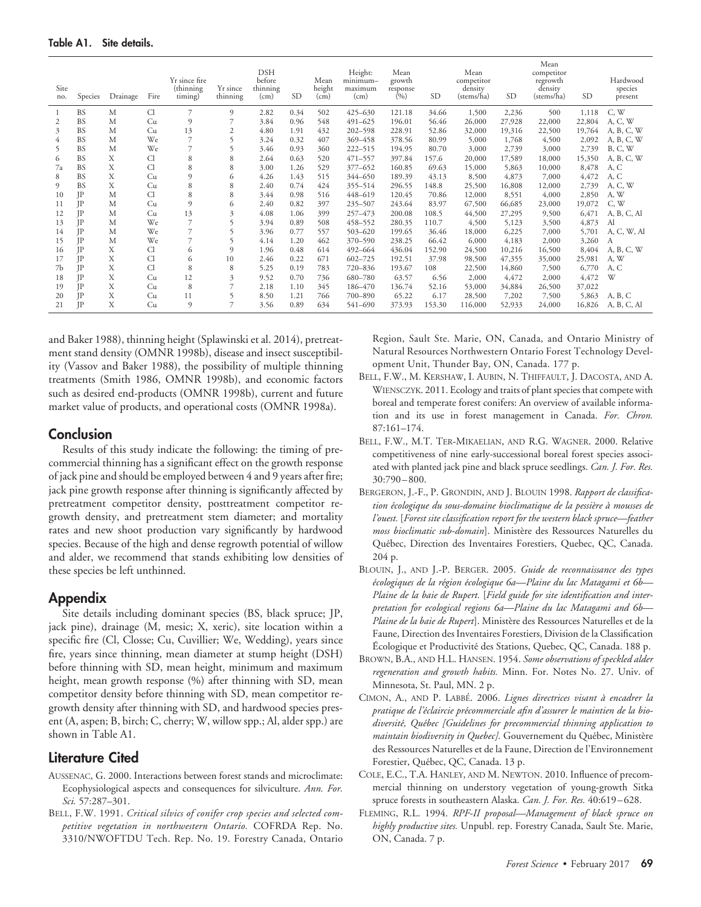| Site<br>no. | Species   | Drainage | Fire | Yr since fire<br>(thinning)<br>timing) | Yr since<br>thinning | DSH<br>before<br>thinning<br>(cm) | <b>SD</b> | Mean<br>height<br>(cm) | Height:<br>$minimum-$<br>maximum<br>(cm) | Mean<br>growth<br>response<br>(0/0) | <b>SD</b> | Mean<br>competitor<br>density<br>(stems/ha) | <b>SD</b> | Mean<br>competitor<br>regrowth<br>density<br>(stems/ha) | <b>SD</b> | Hardwood<br>species<br>present |
|-------------|-----------|----------|------|----------------------------------------|----------------------|-----------------------------------|-----------|------------------------|------------------------------------------|-------------------------------------|-----------|---------------------------------------------|-----------|---------------------------------------------------------|-----------|--------------------------------|
| -1          | <b>BS</b> | M        | Cl   | 7                                      | 9                    | 2.82                              | 0.34      | 502                    | $425 - 630$                              | 121.18                              | 34.66     | 1,500                                       | 2,236     | 500                                                     | 1,118     | C, W                           |
| 2           | <b>BS</b> | M        | Cu   | 9                                      | 7                    | 3.84                              | 0.96      | 548                    | $491 - 625$                              | 196.01                              | 56.46     | 26,000                                      | 27,928    | 22,000                                                  | 22,804    | A, C, W                        |
| 3           | <b>BS</b> | M        | Cu   | 13                                     | 2                    | 4.80                              | 1.91      | 432                    | $202 - 598$                              | 228.91                              | 52.86     | 32,000                                      | 19,316    | 22,500                                                  | 19,764    | A, B, C, W                     |
| 4           | <b>BS</b> | M        | We   | 7                                      | 5                    | 3.24                              | 0.32      | 407                    | 369-458                                  | 378.56                              | 80.99     | 5,000                                       | 1,768     | 4,500                                                   | 2,092     | A, B, C, W                     |
| 5           | <b>BS</b> | M        | We   | 7                                      | 5                    | 3.46                              | 0.93      | 360                    | $222 - 515$                              | 194.95                              | 80.70     | 3,000                                       | 2,739     | 3,000                                                   | 2,739     | B, C, W                        |
| 6           | <b>BS</b> | X        | Cl   | 8                                      | 8                    | 2.64                              | 0.63      | 520                    | 471-557                                  | 397.84                              | 157.6     | 20,000                                      | 17,589    | 18,000                                                  | 15,350    | A, B, C, W                     |
| 7a          | <b>BS</b> | Х        | Cl   | 8                                      | 8                    | 3.00                              | 1.26      | 529                    | $377 - 652$                              | 160.85                              | 69.63     | 15,000                                      | 5,863     | 10,000                                                  | 8,478     | A, C                           |
| 8           | <b>BS</b> | X        | Cu   | 9                                      | 6                    | 4.26                              | 1.43      | 515                    | 344-650                                  | 189.39                              | 43.13     | 8,500                                       | 4,873     | 7,000                                                   | 4,472     | A, C                           |
| 9           | <b>BS</b> | X        | Cu   | 8                                      | 8                    | 2.40                              | 0.74      | 424                    | 355-514                                  | 296.55                              | 148.8     | 25,500                                      | 16,808    | 12,000                                                  | 2,739     | A, C, W                        |
| 10          | IP        | M        | Cl   | 8                                      | 8                    | 3.44                              | 0.98      | 516                    | 448-619                                  | 120.45                              | 70.86     | 12,000                                      | 8,551     | 4,000                                                   | 2,850     | A, W                           |
| 11          | IP        | M        | Cu   | 9                                      | 6                    | 2.40                              | 0.82      | 397                    | 235-507                                  | 243.64                              | 83.97     | 67,500                                      | 66,685    | 23,000                                                  | 19,072    | C, W                           |
| 12          | IP        | M        | Cu   | 13                                     | 3                    | 4.08                              | 1.06      | 399                    | 257-473                                  | 200.08                              | 108.5     | 44,500                                      | 27,295    | 9,500                                                   | 6,471     | A, B, C, Al                    |
| 13          | IΡ        | M        | We   | $\overline{7}$                         | 5                    | 3.94                              | 0.89      | 508                    | 458-552                                  | 280.35                              | 110.7     | 4,500                                       | 5,123     | 3,500                                                   | 4,873     | Al                             |
| 14          | IP        | M        | We   | 7                                      |                      | 3.96                              | 0.77      | 557                    | $503 - 620$                              | 199.65                              | 36.46     | 18,000                                      | 6,225     | 7,000                                                   | 5,701     | A, C, W, Al                    |
| 15          | JΡ        | M        | We   | 7                                      | 5                    | 4.14                              | 1.20      | 462                    | 370-590                                  | 238.25                              | 66.42     | 6,000                                       | 4,183     | 2,000                                                   | 3,260     | А                              |
| 16          | IP        | X        | Cl   | 6                                      | 9                    | 1.96                              | 0.48      | 614                    | 492-664                                  | 436.04                              | 152.90    | 24,500                                      | 10,216    | 16,500                                                  | 8,404     | A, B, C, W                     |
| 17          | IP        | X        | Cl   | 6                                      | 10                   | 2.46                              | 0.22      | 671                    | $602 - 725$                              | 192.51                              | 37.98     | 98,500                                      | 47,355    | 35,000                                                  | 25,981    | A, W                           |
| 7b          | IP        | X        | Cl   | 8                                      | 8                    | 5.25                              | 0.19      | 783                    | 720-836                                  | 193.67                              | 108       | 22,500                                      | 14,860    | 7,500                                                   | 6,770     | A, C                           |
| 18          | IP        | X        | Cu   | 12                                     | 3                    | 9.52                              | 0.70      | 736                    | 680-780                                  | 63.57                               | 6.56      | 2,000                                       | 4,472     | 2,000                                                   | 4,472     | W                              |
| 19          | IP        | X        | Cu   | 8                                      | 7                    | 2.18                              | 1.10      | 345                    | 186-470                                  | 136.74                              | 52.16     | 53,000                                      | 34,884    | 26,500                                                  | 37,022    |                                |
| 20          | IP        | Х        | Cu   | 11                                     | 5                    | 8.50                              | 1.21      | 766                    | 700-890                                  | 65.22                               | 6.17      | 28,500                                      | 7,202     | 7,500                                                   | 5,863     | A, B, C                        |
| 21          | IP        | X        | Cu   | 9                                      | 7                    | 3.56                              | 0.89      | 634                    | 541-690                                  | 373.93                              | 153.30    | 116,000                                     | 52,933    | 24,000                                                  | 16,826    | A, B, C, Al                    |

and Baker 1988), thinning height (Splawinski et al. 2014), pretreatment stand density (OMNR 1998b), disease and insect susceptibility (Vassov and Baker 1988), the possibility of multiple thinning treatments (Smith 1986, OMNR 1998b), and economic factors such as desired end-products (OMNR 1998b), current and future market value of products, and operational costs (OMNR 1998a).

## **Conclusion**

Results of this study indicate the following: the timing of precommercial thinning has a significant effect on the growth response of jack pine and should be employed between 4 and 9 years after fire; jack pine growth response after thinning is significantly affected by pretreatment competitor density, posttreatment competitor regrowth density, and pretreatment stem diameter; and mortality rates and new shoot production vary significantly by hardwood species. Because of the high and dense regrowth potential of willow and alder, we recommend that stands exhibiting low densities of these species be left unthinned.

# **Appendix**

Site details including dominant species (BS, black spruce; JP, jack pine), drainage (M, mesic; X, xeric), site location within a specific fire (Cl, Closse; Cu, Cuvillier; We, Wedding), years since fire, years since thinning, mean diameter at stump height (DSH) before thinning with SD, mean height, minimum and maximum height, mean growth response (%) after thinning with SD, mean competitor density before thinning with SD, mean competitor regrowth density after thinning with SD, and hardwood species present (A, aspen; B, birch; C, cherry; W, willow spp.; Al, alder spp.) are shown in Table A1.

# **Literature Cited**

- AUSSENAC, G. 2000. Interactions between forest stands and microclimate: Ecophysiological aspects and consequences for silviculture. *Ann. For. Sci.* 57:287–301.
- BELL, F.W. 1991. *Critical silvics of conifer crop species and selected competitive vegetation in northwestern Ontario.* COFRDA Rep. No. 3310/NWOFTDU Tech. Rep. No. 19. Forestry Canada, Ontario

Region, Sault Ste. Marie, ON, Canada, and Ontario Ministry of Natural Resources Northwestern Ontario Forest Technology Development Unit, Thunder Bay, ON, Canada. 177 p.

- BELL, F.W., M. KERSHAW, I. AUBIN, N. THIFFAULT, J. DACOSTA, AND A. WIENSCZYK. 2011. Ecology and traits of plant species that compete with boreal and temperate forest conifers: An overview of available information and its use in forest management in Canada. *For. Chron.* 87:161–174.
- BELL, F.W., M.T. TER-MIKAELIAN, AND R.G. WAGNER. 2000. Relative competitiveness of nine early-successional boreal forest species associated with planted jack pine and black spruce seedlings. *Can. J. For. Res.* 30:790 – 800.
- BERGERON, J.-F., P. GRONDIN, AND J. BLOUIN 1998. *Rapport de classifica*tion écologique du sous-domaine bioclimatique de la pessière à mousses de *l'ouest.* [*Forest site classification report for the western black spruce—feather moss bioclimatic sub-domain*]. Ministère des Ressources Naturelles du Québec, Direction des Inventaires Forestiers, Quebec, QC, Canada. 204 p.
- BLOUIN, J., AND J.-P. BERGER. 2005. *Guide de reconnaissance des types ´cologiques de la re e ´gion e´cologique 6a—Plaine du lac Matagami et 6b— Plaine de la baie de Rupert.* [*Field guide for site identification and interpretation for ecological regions 6a—Plaine du lac Matagami and 6b—* Plaine de la baie de Rupert]. Ministère des Ressources Naturelles et de la Faune, Direction des Inventaires Forestiers, Division de la Classification Écologique et Productivité des Stations, Quebec, QC, Canada. 188 p.
- BROWN, B.A., AND H.L. HANSEN. 1954. *Some observations of speckled alder regeneration and growth habits.* Minn. For. Notes No. 27. Univ. of Minnesota, St. Paul, MN. 2 p.
- CIMON, A., AND P. LABBE´. 2006. *Lignes directrices visant a` encadrer la* pratique de l'éclaircie précommerciale afin d'assurer le maintien de la bio*diversite´, Que´bec [Guidelines for precommercial thinning application to* maintain biodiversity in Quebec]. Gouvernement du Québec, Ministère des Ressources Naturelles et de la Faune, Direction de l'Environnement Forestier, Québec, QC, Canada. 13 p.
- COLE, E.C., T.A. HANLEY, AND M. NEWTON. 2010. Influence of precommercial thinning on understory vegetation of young-growth Sitka spruce forests in southeastern Alaska. *Can. J. For. Res.* 40:619 – 628.
- FLEMING, R.L. 1994. *RPF-II proposal—Management of black spruce on highly productive sites.* Unpubl. rep. Forestry Canada, Sault Ste. Marie, ON, Canada. 7 p.